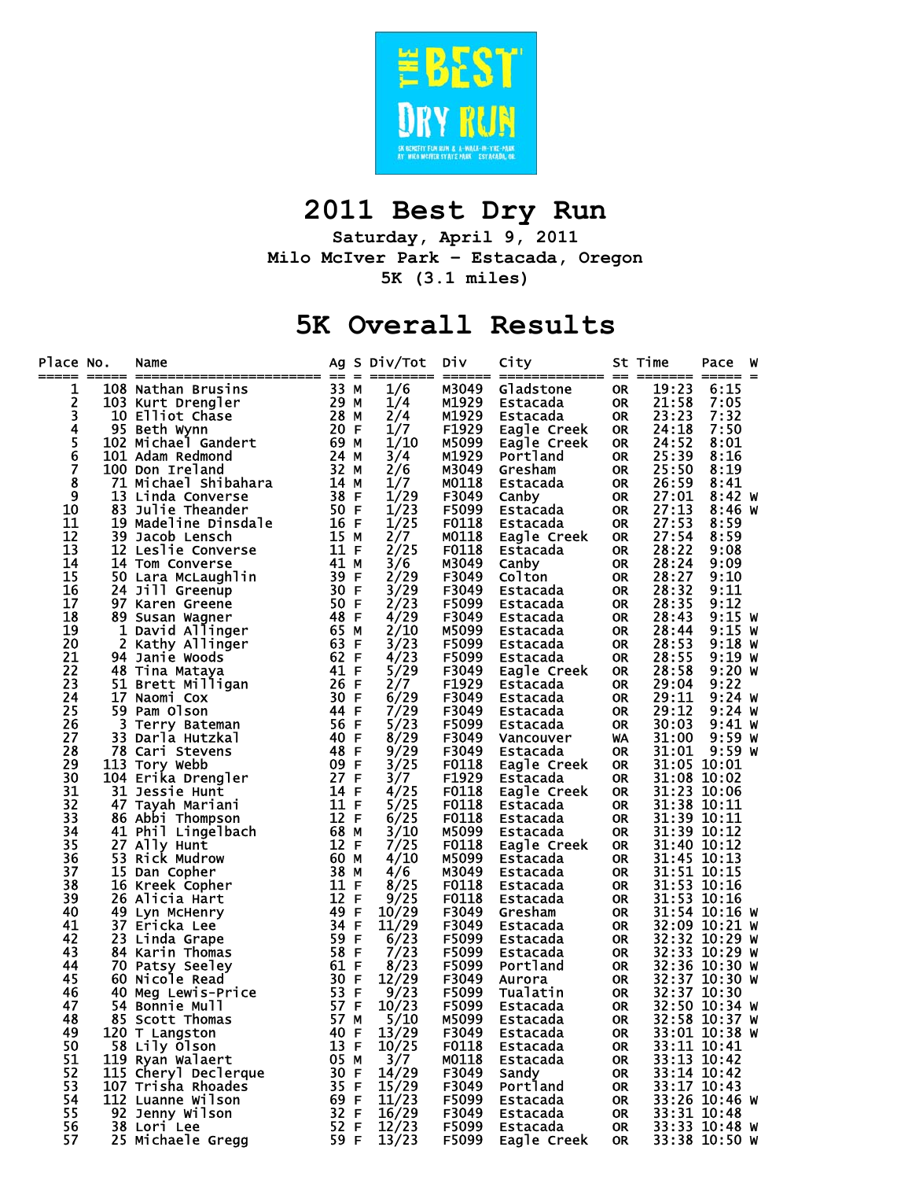

## **2011 Best Dry Run**

**Saturday, April 9, 2011 Milo McIver Park – Estacada, Oregon 5K (3.1 miles)** 

## **5K Overall Results**

| Place No.      |    | Name                  |      |             | Ag S Div/Tot          | Div               | City<br>====== ============= == |           | St Time<br>======= ===== = | Pace          | W |
|----------------|----|-----------------------|------|-------------|-----------------------|-------------------|---------------------------------|-----------|----------------------------|---------------|---|
| 1              |    | 108 Nathan Brusins    | 33 M |             | 1/6                   | M3049             | Gladstone                       | <b>OR</b> | 19:23                      | 6:15          |   |
|                |    | 103 Kurt Drengler     | 29 M |             | 1/4                   | M1929             | Estacada                        | <b>OR</b> | 21:58                      | 7:05          |   |
|                |    | 10 Elliot Chase       | 28 M |             | 2/4                   | M1929             | Estacada                        | <b>OR</b> | 23:23                      | 7:32          |   |
| 2<br>3<br>4    |    | 95 Beth Wynn          | 20 F |             | 1/7                   | F1929             | Eagle Creek                     | <b>OR</b> | 24:18                      | 7:50          |   |
|                |    | 102 Michael Gandert   | 69 M |             | 1/10                  | M5099             | Eagle Creek                     | <b>OR</b> | 24:52                      | 8:01          |   |
| 5<br>6<br>7    |    | 101 Adam Redmond      | 24 M |             | 3/4                   | M1929             | Portland                        | <b>OR</b> | 25:39                      | 8:16          |   |
|                |    | 100 Don Ireland       | 32 M |             | 2/6                   | M3049             | Gresham                         | <b>OR</b> | 25:50                      | 8:19          |   |
| 8              |    | 71 Michael Shibahara  | 14 M |             | 1/7                   | M0118             | Estacada                        | <b>OR</b> | 26:59                      | 8:41          |   |
| $\overline{9}$ | 13 | Linda Converse        | 38 F |             | 1/29                  | F3049             | Canby                           | <b>OR</b> | 27:01                      | 8:42 W        |   |
| 10             |    | 83 Julie Theander     | 50 F |             | 1/23                  | F5099             | Estacada                        | <b>OR</b> | 27:13                      | $8:46$ W      |   |
| 11             |    | 19 Madeline Dinsdale  | 16 F |             | 1/25                  | F0118             | Estacada                        | <b>OR</b> | 27:53                      | 8:59          |   |
| 12             |    | 39 Jacob Lensch       | 15 M |             |                       | M0118             | Eagle Creek                     | <b>OR</b> | 27:54                      | 8:59          |   |
| 13             |    | 12 Leslie Converse    | 11 F |             | $\frac{2}{7}$<br>2/25 | F0118             | Estacada                        | <b>OR</b> | 28:22                      | 9:08          |   |
| 14             |    | 14 Tom Converse       | 41 M |             | 3/6                   | M3049             | Canby                           | <b>OR</b> | 28:24                      | 9:09          |   |
| 15             |    | 50 Lara McLaughlin    | 39   | $\mathsf F$ | 2/29                  | F3049             | Colton                          | <b>OR</b> | 28:27                      | 9:10          |   |
| 16             |    | 24 Jill Greenup       | 30 F |             | 3/29                  | F3049             | Estacada                        | <b>OR</b> | 28:32                      | 9:11          |   |
| 17             |    |                       | 50 F |             | 2/23                  |                   |                                 |           | 28:35                      | 9:12          |   |
| 18             |    | 97 Karen Greene       |      |             |                       | F5099             | Estacada                        | <b>OR</b> |                            |               |   |
|                |    | 89 Susan Wagner       | 48 F |             | 4/29                  | F3049             | Estacada                        | <b>OR</b> | 28:43                      | $9:15$ W      |   |
| 19             | 1  | David Allinger        | 65 M |             | 2/10                  | M5099             | Estacada                        | <b>OR</b> | 28:44                      | $9:15$ W      |   |
| 20             | 2  | Kathy Allinger        | 63 F |             | 3/23                  | F5099             | Estacada                        | <b>OR</b> | 28:53                      | $9:18$ W      |   |
| 21             |    | 94 Janie Woods        | 62 F |             | 4/23                  | F5099             | Estacada                        | <b>OR</b> | 28:55                      | 9:19 w        |   |
| 22             |    | 48 Tina Mataya        | 41 F |             | 5/29                  | F3049             | Eagle Creek                     | <b>OR</b> | 28:58                      | 9:20 W        |   |
| 23             |    | 51 Brett Milligan     | 26   | $\mathsf F$ | 2/7                   | F1929             | Estacada                        | <b>OR</b> | 29:04                      | 9:22          |   |
| 24             |    | 17 Naomi Cox          | 30 F |             | 6/29                  | F3049             | Estacada                        | <b>OR</b> | 29:11                      | $9:24$ W      |   |
| 25             |    | 59 Pam Olson          | 44 F |             | 7/29                  | F3049             | Estacada                        | <b>OR</b> | 29:12                      | 9:24 W        |   |
| 26             | 3  | Terry Bateman         | 56 F |             | 5/23                  | F5099             | Estacada                        | <b>OR</b> | 30:03                      | $9:41$ W      |   |
| 27             | 33 | Darla Hutzkal         | 40   | $\mathsf F$ | 8/29                  | F3049             | Vancouver                       | <b>WA</b> | 31:00                      | $9:59$ W      |   |
| 28             |    | 78 Cari Stevens       | 48 F |             | 9/29                  | F3049             | Estacada                        | <b>OR</b> | 31:01                      | 9:59 w        |   |
| 29             |    | 113 Tory Webb         | 09 F |             | 3/25                  | F0118             | Eagle Creek                     | <b>OR</b> |                            | 31:05 10:01   |   |
| 30             |    | 104 Erika Drengler    | 27 F |             | 3/7                   | F <sub>1929</sub> | Estacada                        | <b>OR</b> |                            | 31:08 10:02   |   |
| 31             |    | 31 Jessie Hunt        | 14 F |             | 4/25                  | F0118             | Eagle Creek                     | <b>OR</b> |                            | 31:23 10:06   |   |
| 32             |    | 47 Tayah Mariani      | 11 F |             | 5/25                  | F0118             | Estacada                        | <b>OR</b> |                            | 31:38 10:11   |   |
| 33             |    | 86 Abbi Thompson      | 12 F |             | 6/25                  | F0118             | Estacada                        | <b>OR</b> |                            | 31:39 10:11   |   |
| 34             |    | 41 Phil Lingelbach    | 68 M |             | 3/10                  | M5099             | Estacada                        | <b>OR</b> |                            | 31:39 10:12   |   |
| 35             |    | 27 Ally Hunt          | 12 F |             | 7/25                  | F0118             | Eagle Creek                     | <b>OR</b> |                            | 31:40 10:12   |   |
| 36             |    | 53 Rick Mudrow        | 60 M |             | 4/10                  | M5099             | Estacada                        | <b>OR</b> |                            | 31:45 10:13   |   |
| 37             |    | 15 Dan Copher         | 38 M |             | 4/6                   | M3049             | Estacada                        | <b>OR</b> |                            | 31:51 10:15   |   |
| 38             |    | 16 Kreek Copher       | 11 F |             | 8/25                  | F0118             | Estacada                        | <b>OR</b> |                            | 31:53 10:16   |   |
| 39             |    | 26 Alicia Hart        | 12   | $\mathsf F$ | 9/25                  | F0118             | Estacada                        | <b>OR</b> |                            | 31:53 10:16   |   |
| 40             |    | 49 Lyn McHenry        | 49   | $\mathsf F$ | 10/29                 | F3049             | Gresham                         | <b>OR</b> |                            | 31:54 10:16 W |   |
| 41             |    | 37 Ericka Lee         | 34 F |             | 11/29                 | F3049             | Estacada                        | <b>OR</b> |                            | 32:09 10:21 W |   |
| 42             |    | 23 Linda Grape        | 59 F |             | 6/23                  | F5099             | Estacada                        | <b>OR</b> |                            | 32:32 10:29 W |   |
| 43             |    | 84 Karin Thomas       | 58 F |             | 7/23                  | F5099             | Estacada                        | <b>OR</b> |                            | 32:33 10:29 W |   |
| 44             |    | 70 Patsy Seeley       | 61 F |             | 8/23                  | F5099             | Portland                        | <b>OR</b> |                            | 32:36 10:30 W |   |
| 45             |    | 60 Nicole Read        | 30   | $\mathsf F$ | 12/29                 | F3049             | Aurora                          | <b>OR</b> |                            | 32:37 10:30 W |   |
| 46             |    | 40 Meg Lewis-Price    | 53 F |             | 9/23                  | F5099             | Tualatin                        | <b>OR</b> |                            | 32:37 10:30   |   |
| 47             |    | <b>54 Bonnie Mull</b> | 57 F |             | 10/23                 | F5099             | Estacada                        | <b>OR</b> |                            | 32:50 10:34 W |   |
| 48             |    | 85 Scott Thomas       | 57 M |             | 5/10                  | M5099             | Estacada                        | <b>OR</b> |                            | 32:58 10:37 W |   |
| 49             |    | 120 T Langston        | 40 F |             | 13/29                 | F3049             | Estacada                        | 0R        |                            | 33:01 10:38 W |   |
| 50             |    | 58 Lily Olson         | 13 F |             | 10/25                 | F0118             | Estacada                        | 0R        |                            | 33:11 10:41   |   |
| 51             |    | 119 Ryan Walaert      | 05 M |             | 3/7                   | M0118             | Estacada                        | <b>OR</b> |                            | 33:13 10:42   |   |
| 52             |    | 115 Cheryl Declerque  | 30 F |             | 14/29                 | F3049             | Sandy                           | <b>OR</b> |                            | 33:14 10:42   |   |
| 53             |    | 107 Trisha Rhoades    | 35 F |             | 15/29                 | F3049             | Portland                        | <b>OR</b> |                            | 33:17 10:43   |   |
| 54             |    | 112 Luanne Wilson     | 69 F |             | 11/23                 | F5099             | Estacada                        | <b>OR</b> |                            | 33:26 10:46 W |   |
| 55             |    | 92 Jenny Wilson       | 32 F |             | 16/29                 | F3049             | Estacada                        | <b>OR</b> |                            | 33:31 10:48   |   |
| 56             |    | 38 Lori Lee           | 52 F |             | 12/23                 | F5099             | Estacada                        | <b>OR</b> |                            | 33:33 10:48 W |   |
| 57             |    | 25 Michaele Gregg     | 59 F |             | 13/23                 | F5099             | Eagle Creek                     | <b>OR</b> |                            | 33:38 10:50 W |   |
|                |    |                       |      |             |                       |                   |                                 |           |                            |               |   |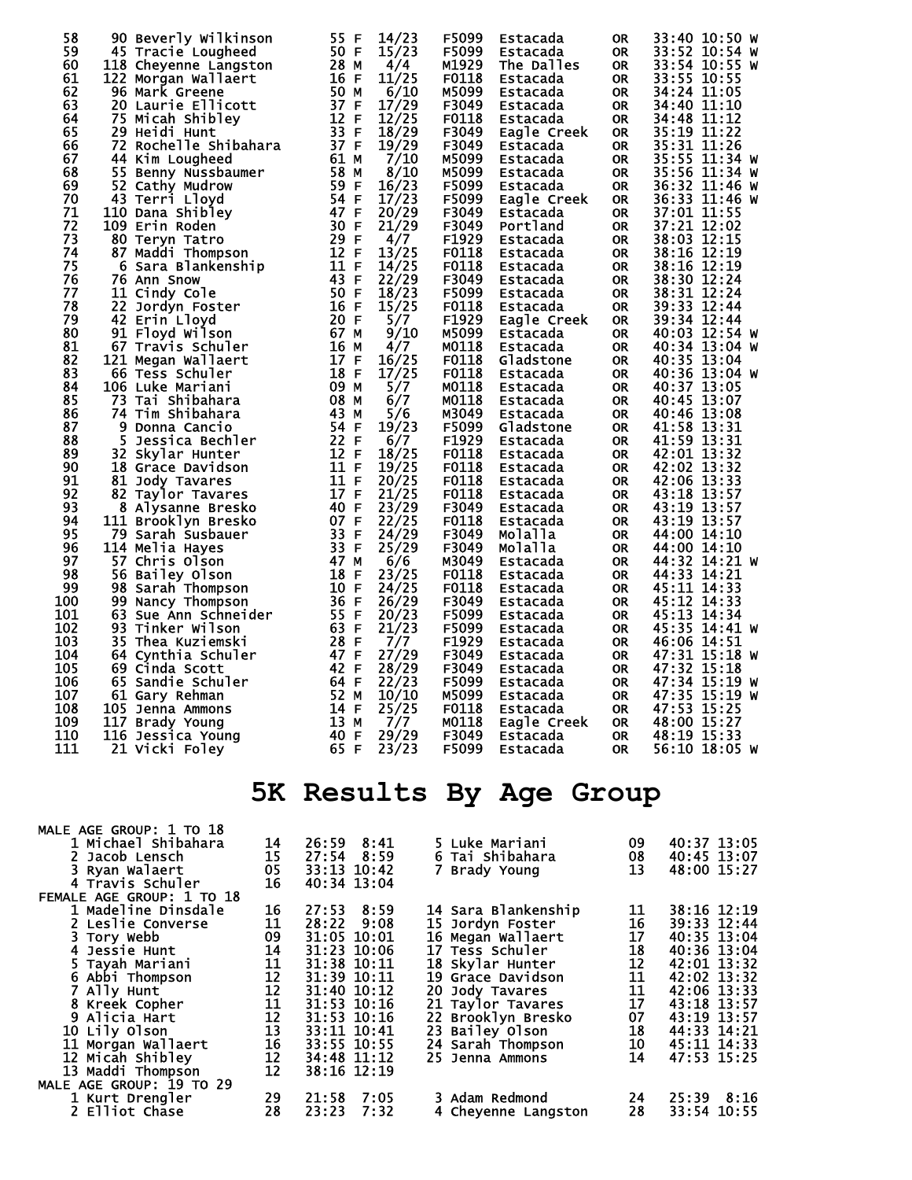| 58  | 90 Beverly Wilkinson      | 14/23<br>55 F                       | F5099<br>Estacada    | <b>OR</b> | 33:40 10:50 W |
|-----|---------------------------|-------------------------------------|----------------------|-----------|---------------|
| 59  | 45 Tracie Lougheed        | 50 F<br>15/23                       | F5099<br>Estacada    | <b>OR</b> | 33:52 10:54 W |
| 60  | 118 Cheyenne Langston     | 28 M<br>4/4                         | M1929<br>The Dalles  | <b>OR</b> | 33:54 10:55 W |
| 61  | 122 Morgan Wallaert       | 16 F<br>11/25                       | F0118<br>Estacada    | <b>OR</b> | 33:55 10:55   |
| 62  | 96 Mark Greene            | 50 M<br>6/10                        | M5099<br>Estacada    | <b>OR</b> | 34:24 11:05   |
| 63  | <b>20 Laurie Ellicott</b> | 17/29<br>37 F                       | F3049<br>Estacada    | <b>OR</b> | 34:40 11:10   |
| 64  | 75 Micah Shibley          | 12 F<br>12/25                       | F0118<br>Estacada    | <b>OR</b> | 34:48 11:12   |
| 65  | 29 Heidi Hunt             | 33 F<br>18/29                       | F3049<br>Eagle Creek | <b>OR</b> | 35:19 11:22   |
| 66  | 72 Rochelle Shibahara     | 37 F<br>19/29                       | F3049<br>Estacada    | <b>OR</b> | 35:31 11:26   |
| 67  |                           | 7/10<br>61 M                        | M5099                |           | 35:55 11:34 W |
| 68  | 44 Kim Lougheed           | 58 M<br>8/10                        | Estacada<br>M5099    | <b>OR</b> | 35:56 11:34 W |
|     | 55 Benny Nussbaumer       |                                     | Estacada             | <b>OR</b> |               |
| 69  | 52 Cathy Mudrow           | 59 F<br>16/23                       | F5099<br>Estacada    | <b>OR</b> | 36:32 11:46 W |
| 70  | 43 Terri Lloyd            | 54 F<br>17/23                       | F5099<br>Eagle Creek | 0R        | 36:33 11:46 W |
| 71  | 110 Dana Shibley          | 47 F<br>20/29                       | F3049<br>Estacada    | 0R        | 37:01 11:55   |
| 72  | 109 Erin Roden            | 30 F<br>21/29                       | F3049<br>Portland    | <b>OR</b> | 37:21 12:02   |
| 73  | 80 Tervn Tatro            | 29 F<br>4/7                         | F1929<br>Estacada    | <b>OR</b> | 38:03 12:15   |
| 74  | 87 Maddi Thompson         | 12 F<br>13/25                       | F0118<br>Estacada    | <b>OR</b> | 38:16 12:19   |
| 75  | 6 Sara Blankenship        | 11 F<br>14/25                       | F0118<br>Estacada    | <b>OR</b> | 38:16 12:19   |
| 76  | 76 Ann Snow               | $\frac{1}{22}$ /29<br>43 F          | F3049<br>Estacada    | <b>OR</b> | 38:30 12:24   |
| 77  | <b>11 Cindy Cole</b>      | 18/23<br>50 F                       | F5099<br>Estacada    | <b>OR</b> | 38:31 12:24   |
| 78  | 22 Jordyn Foster          | 16 F<br>15/25                       | F0118<br>Estacada    | <b>OR</b> | 39:33 12:44   |
| 79  | 42 Erin Lloyd             | 20 F<br>5/7                         | F1929<br>Eagle Creek | <b>OR</b> | 39:34 12:44   |
| 80  | 91 Floyd Wilson           | 67 M<br>9/10                        | M5099<br>Estacada    | <b>OR</b> | 40:03 12:54 W |
| 81  | 67 Travis Schuler         | 16 M<br>4/7                         | M0118<br>Estacada    | <b>OR</b> | 40:34 13:04 W |
| 82  | 121 Megan Wallaert        | 17 F<br>16/25                       | F0118<br>Gladstone   | <b>OR</b> | 40:35 13:04   |
| 83  | 66 Tess Schuler           | 17/25<br>18 F                       | F0118<br>Estacada    | <b>OR</b> | 40:36 13:04 W |
| 84  | 106 Luke Mariani          | 09 M<br>5/7                         | M0118<br>Estacada    | <b>OR</b> | 40:37 13:05   |
| 85  | 73 Tai Shibahara          | 08 M<br>6/7                         | M0118<br>Estacada    | 0R        | 40:45 13:07   |
| 86  | 74 Tim Shibahara          | 43 M<br>5/6                         | M3049<br>Estacada    | <b>OR</b> | 40:46 13:08   |
| 87  | 9 Donna Cancio            | 54 F<br>19/23                       | F5099<br>Gladstone   | <b>OR</b> | 41:58 13:31   |
| 88  | 5<br>Jessica Bechler      | 22 F<br>6/7                         | F1929<br>Estacada    | <b>OR</b> | 41:59 13:31   |
| 89  | 32<br>Skylar Hunter       | 12 F<br>18/25                       | F0118<br>Estacada    | <b>OR</b> | 42:01 13:32   |
| 90  | <b>18 Grace Davidson</b>  | 19/25<br>11 F                       | F0118<br>Estacada    | <b>OR</b> | 42:02 13:32   |
| 91  | 81 Jody Tavares           | 11 F<br>20/25                       | F0118<br>Estacada    | <b>OR</b> | 42:06 13:33   |
| 92  | 82 Taylor Tavares         | 17 F<br>21/25                       | F0118<br>Estacada    | 0R        | 43:18 13:57   |
| 93  |                           | 23/29<br>40 F                       | F3049                |           | 43:19 13:57   |
| 94  | 8 Alysanne Bresko         | 07 F                                | Estacada<br>F0118    | <b>OR</b> | 43:19 13:57   |
| 95  | 111 Brooklyn Bresko       | 22/25<br>33 F                       | Estacada<br>F3049    | <b>OR</b> |               |
| 96  | 79 Sarah Susbauer         | 24/29<br>33 F<br>25/29              | Molalla              | <b>OR</b> | 44:00 14:10   |
|     | 114 Melia Hayes           |                                     | F3049<br>Molalla     | <b>OR</b> | 44:00 14:10   |
| 97  | <b>57 Chris Olson</b>     | 47 M<br>6/6                         | M3049<br>Estacada    | <b>OR</b> | 44:32 14:21 W |
| 98  | 56 Bailey Olson           | 18 F<br>23/25                       | F0118<br>Estacada    | <b>OR</b> | 44:33 14:21   |
| 99  | 98 Sarah Thompson         | 10 F<br>24/25                       | F0118<br>Estacada    | <b>OR</b> | 45:11 14:33   |
| 100 | 99 Nancy Thompson         | 36 F<br>26/29                       | F3049<br>Estacada    | <b>OR</b> | 45:12 14:33   |
| 101 | 63 Sue Ann Schneider      | 55 F<br>20/23                       | F5099<br>Estacada    | <b>OR</b> | 45:13 14:34   |
| 102 | 93 Tinker Wilson          | 63 F<br>21/23                       | F5099<br>Estacada    | <b>OR</b> | 45:35 14:41 W |
| 103 | 35.<br>Thea Kuziemski     | 28 F<br>7/7                         | F1929<br>Estacada    | <b>OR</b> | 46:06 14:51   |
| 104 | 64 Cynthia Schuler        | 47 F<br>27/29                       | F3049<br>Estacada    | <b>OR</b> | 47:31 15:18 W |
| 105 | 69 Cinda Scott            | 42 F<br>28/29                       | F3049<br>Estacada    | <b>OR</b> | 47:32 15:18   |
| 106 | 65 Sandie Schuler         | $\frac{1}{2}$ $\frac{2}{3}$<br>64 F | F5099<br>Estacada    | <b>OR</b> | 47:34 15:19 W |
| 107 | 61 Gary Rehman            | 52 M<br>10/10                       | M5099<br>Estacada    | <b>OR</b> | 47:35 15:19 W |
| 108 | 105 Jenna Ammons          | 14 F<br>25/25                       | F0118<br>Estacada    | 0R        | 47:53 15:25   |
| 109 | 117 Brady Young           | 13 M<br>7/7                         | M0118<br>Eagle Creek | 0R        | 48:00 15:27   |
| 110 | 116 Jessica Young         | 40 F<br>29/29                       | F3049<br>Estacada    | <b>OR</b> | 48:19 15:33   |
| 111 | 21 Vicki Foley            | 65 F<br>23/23                       | F5099<br>Estacada    | <b>OR</b> | 56:10 18:05 W |
|     |                           |                                     |                      |           |               |
|     |                           |                                     |                      |           |               |

## **5K Results By Age Group**

| MALE AGE GROUP: 1 TO 18   |                                                      |               |                     |    |                |
|---------------------------|------------------------------------------------------|---------------|---------------------|----|----------------|
| 1 Michael Shibahara       | 14                                                   | 26:59 8:41    | 5 Luke Mariani      | 09 | 40:37 13:05    |
| 2 Jacob Lensch            | 15                                                   | $27:54$ 8:59  | 6 Tai Shibahara     | 08 | 40:45 13:07    |
| 3 Ryan Walaert            | 05                                                   | 33:13 10:42   | 7 Brady Young       | 13 | 48:00 15:27    |
| 4 Travis Schuler          | 16                                                   | 40:34 13:04   |                     |    |                |
| FEMALE AGE GROUP: 1 TO 18 |                                                      |               |                     |    |                |
| 1 Madeline Dinsdale       | 16                                                   | 27:53<br>8:59 | 14 Sara Blankenship | 11 | 38:16 12:19    |
| 2 Leslie Converse         | 11                                                   | 28:22<br>9:08 | 15 Jordyn Foster    | 16 | 39:33 12:44    |
| 3 Tory Webb               | 09                                                   | 31:05 10:01   | 16 Megan Wallaert   | 17 | 40:35 13:04    |
| 4 Jessie Hunt             | 14                                                   | 31:23 10:06   | 17 Tess Schuler     | 18 | 40:36 13:04    |
| 5 Tavah Mariani           |                                                      | 31:38 10:11   | 18 Skylar Hunter    | 12 | 42:01 13:32    |
| 6 Abbi Thompson           |                                                      | 31:39 10:11   | 19 Grace Davidson   | 11 | 42:02 13:32    |
| 7 Ally Hunt               |                                                      | 31:40 10:12   | 20 Jody Tavares     | 11 | 42:06 13:33    |
| 8 Kreek Copher            | $11$<br>$12$<br>$11$<br>$12$<br>$13$<br>$13$<br>$16$ | 31:53 10:16   | 21 Taylor Tavares   | 17 | 43:18 13:57    |
| 9 Alicia Hart             |                                                      | 31:53 10:16   | 22 Brooklyn Bresko  | 07 | 43:19 13:57    |
| 10 Lily Olson             |                                                      | 33:11 10:41   | 23 Bailey Olson     | 18 | 44:33 14:21    |
| 11 Morgan Wallaert        |                                                      | 33:55 10:55   | 24 Sarah Thompson   | 10 | 45:11 14:33    |
| 12 Micah Shibley          |                                                      | 34:48 11:12   | 25 Jenna Ammons     | 14 | 47:53 15:25    |
| 13 Maddi Thompson         | $\frac{12}{12}$                                      | 38:16 12:19   |                     |    |                |
| MALE AGE GROUP: 19 TO 29  |                                                      |               |                     |    |                |
| 1 Kurt Drengler           | 29                                                   | 21:58<br>7:05 | 3 Adam Redmond      | 24 | $25:39$ $8:16$ |
| 2 Elliot Chase            | 28                                                   | 23:23<br>7:32 | 4 Cheyenne Langston | 28 | 33:54 10:55    |
|                           |                                                      |               |                     |    |                |